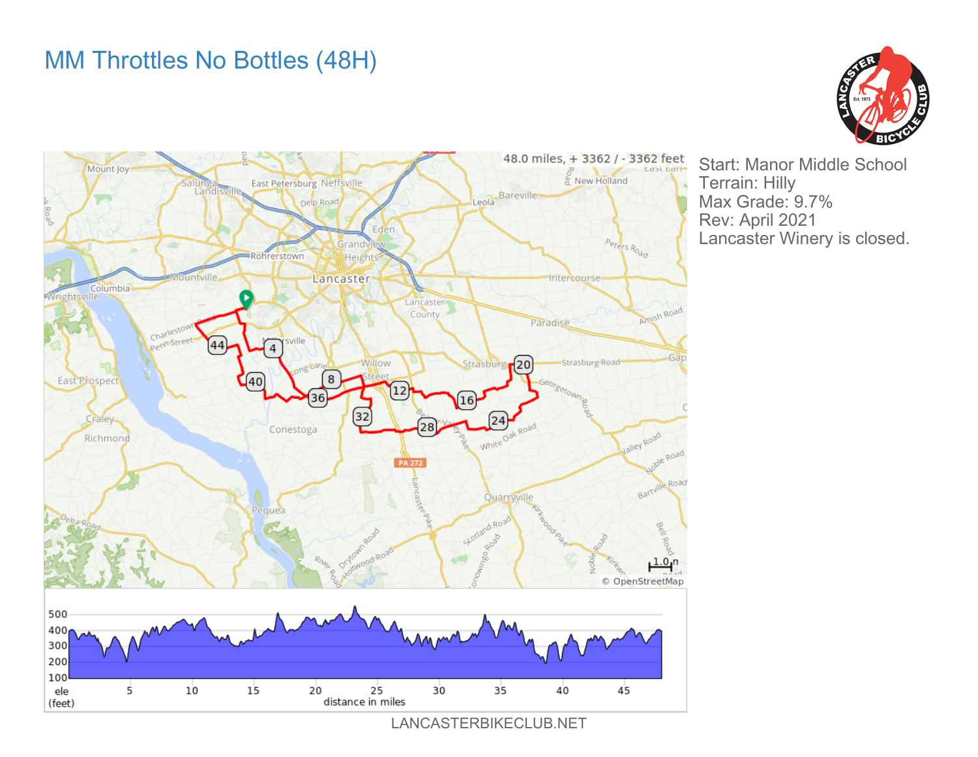## MM Throttles No Bottles (48H)





Start: Manor Middle School Terrain: Hilly Max Grade: 9.7% Rev: April 2021 Lancaster Winery is closed.

LANCASTERBIKECLUB.NET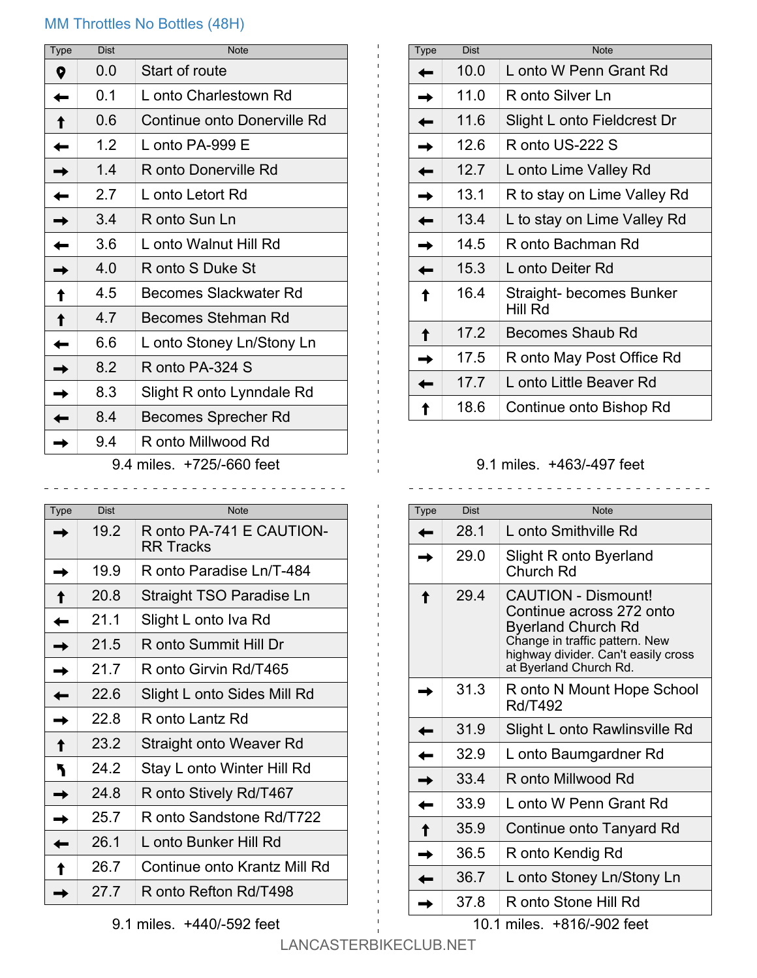## MM Throttles No Bottles (48H)

| <b>Dist</b> | <b>Note</b>                  |
|-------------|------------------------------|
| 0.0         | Start of route               |
| 0.1         | L onto Charlestown Rd        |
| 0.6         | Continue onto Donerville Rd  |
| 1.2         | L onto PA-999 E              |
| 1.4         | R onto Donerville Rd         |
| 2.7         | L onto Letort Rd             |
| 3.4         | R onto Sun Ln                |
| 3.6         | L onto Walnut Hill Rd        |
| 4.0         | R onto S Duke St             |
| 4.5         | <b>Becomes Slackwater Rd</b> |
| 4.7         | Becomes Stehman Rd           |
| 6.6         | L onto Stoney Ln/Stony Ln    |
| 8.2         | R onto PA-324 S              |
| 8.3         | Slight R onto Lynndale Rd    |
| 8.4         | Becomes Sprecher Rd          |
| 9.4         | R onto Millwood Rd           |
|             |                              |

9.4 miles. +725/-660 feet \_\_\_\_\_\_\_\_\_\_\_\_\_\_\_\_\_\_\_\_\_\_\_\_\_\_\_\_\_\_\_\_\_

| Type | <b>Dist</b> | <b>Note</b>                                  |
|------|-------------|----------------------------------------------|
|      | 19.2        | R onto PA-741 E CAUTION-<br><b>RR Tracks</b> |
|      | 19.9        | R onto Paradise Ln/T-484                     |
|      | 20.8        | Straight TSO Paradise Ln                     |
|      | 21.1        | Slight L onto Iva Rd                         |
|      | 21.5        | R onto Summit Hill Dr                        |
|      | 21 7        | R onto Girvin Rd/T465                        |
|      | 22.6        | Slight L onto Sides Mill Rd                  |
|      | 22.8        | R onto Lantz Rd                              |
|      | 23.2        | <b>Straight onto Weaver Rd</b>               |
|      | 24 2        | Stay L onto Winter Hill Rd                   |
|      | 24.8        | R onto Stively Rd/T467                       |
|      | 25.7        | R onto Sandstone Rd/T722                     |
|      | 26.1        | L onto Bunker Hill Rd                        |
|      | 26.7        | Continue onto Krantz Mill Rd                 |
|      | 27.7        | R onto Refton Rd/T498                        |

| <b>Type</b> | Dist | Note                                |
|-------------|------|-------------------------------------|
|             | 10.0 | L onto W Penn Grant Rd              |
|             | 11.0 | R onto Silver Ln                    |
|             | 11.6 | Slight L onto Fieldcrest Dr         |
|             | 12.6 | R onto US-222 S                     |
|             | 12.7 | L onto Lime Valley Rd               |
|             | 13.1 | R to stay on Lime Valley Rd         |
|             | 13.4 | L to stay on Lime Valley Rd         |
|             | 14.5 | R onto Bachman Rd                   |
|             | 15.3 | L onto Deiter Rd                    |
|             | 16.4 | Straight- becomes Bunker<br>Hill Rd |
|             | 17.2 | Becomes Shaub Rd                    |
|             | 17.5 | R onto May Post Office Rd           |
|             | 17.7 | L onto Little Beaver Rd             |
|             | 18.6 | Continue onto Bishop Rd             |

## 9.1 miles. +463/-497 feet

<u>. . . . . . . .</u>

| <b>Type</b> | <b>Dist</b> | Note                                                                                                                                                                                   |
|-------------|-------------|----------------------------------------------------------------------------------------------------------------------------------------------------------------------------------------|
|             | 28 1        | L onto Smithville Rd                                                                                                                                                                   |
|             | 29.0        | Slight R onto Byerland<br>Church Rd                                                                                                                                                    |
|             | 29.4        | <b>CAUTION - Dismount!</b><br>Continue across 272 onto<br><b>Byerland Church Rd</b><br>Change in traffic pattern. New<br>highway divider. Can't easily cross<br>at Byerland Church Rd. |
|             | 31.3        | R onto N Mount Hope School<br><b>Rd/T492</b>                                                                                                                                           |
|             | 31.9        | Slight L onto Rawlinsville Rd                                                                                                                                                          |
|             | 329         | L onto Baumgardner Rd                                                                                                                                                                  |
|             | 33.4        | R onto Millwood Rd                                                                                                                                                                     |
|             | 33.9        | L onto W Penn Grant Rd                                                                                                                                                                 |
|             | 35.9        | Continue onto Tanyard Rd                                                                                                                                                               |
|             | 36.5        | R onto Kendig Rd                                                                                                                                                                       |
|             | 36.7        | L onto Stoney Ln/Stony Ln                                                                                                                                                              |
|             | 37.8        | R onto Stone Hill Rd                                                                                                                                                                   |

10.1 miles. +816/-902 feet

9.1 miles. +440/-592 feet

LANCASTERBIKECLUB.NET

 $\mathbf{H}_{\mathrm{max}}$  $\mathbf{1}$  .